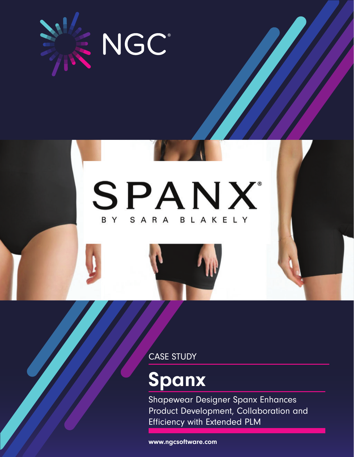

# SPANX BY SARA BLAKELY

CASE STUDY

# Spanx

Shapewear Designer Spanx Enhances Product Development, Collaboration and Efficiency with Extended PLM

www.ngcsoftware.com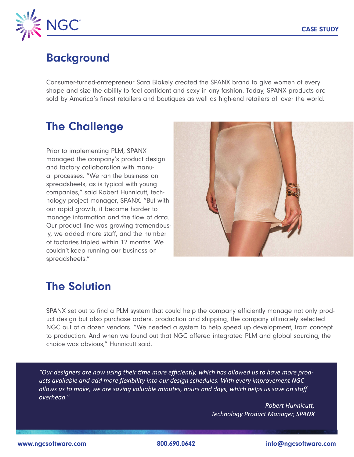

#### Background

Consumer-turned-entrepreneur Sara Blakely created the SPANX brand to give women of every shape and size the ability to feel confident and sexy in any fashion. Today, SPANX products are sold by America's finest retailers and boutiques as well as high-end retailers all over the world.

### The Challenge

Prior to implementing PLM, SPANX managed the company's product design and factory collaboration with manual processes. "We ran the business on spreadsheets, as is typical with young companies," said Robert Hunnicutt, technology project manager, SPANX. "But with our rapid growth, it became harder to manage information and the flow of data. Our product line was growing tremendously, we added more staff, and the number of factories tripled within 12 months. We couldn't keep running our business on spreadsheets."



## The Solution

SPANX set out to find a PLM system that could help the company efficiently manage not only product design but also purchase orders, production and shipping; the company ultimately selected NGC out of a dozen vendors. "We needed a system to help speed up development, from concept to production. And when we found out that NGC offered integrated PLM and global sourcing, the choice was obvious," Hunnicutt said.

*"Our designers are now using their time more efficiently, which has allowed us to have more products available and add more flexibility into our design schedules. With every improvement NGC allows us to make, we are saving valuable minutes, hours and days, which helps us save on staff overhead."*

> *Robert Hunnicutt, Technology Product Manager, SPANX*